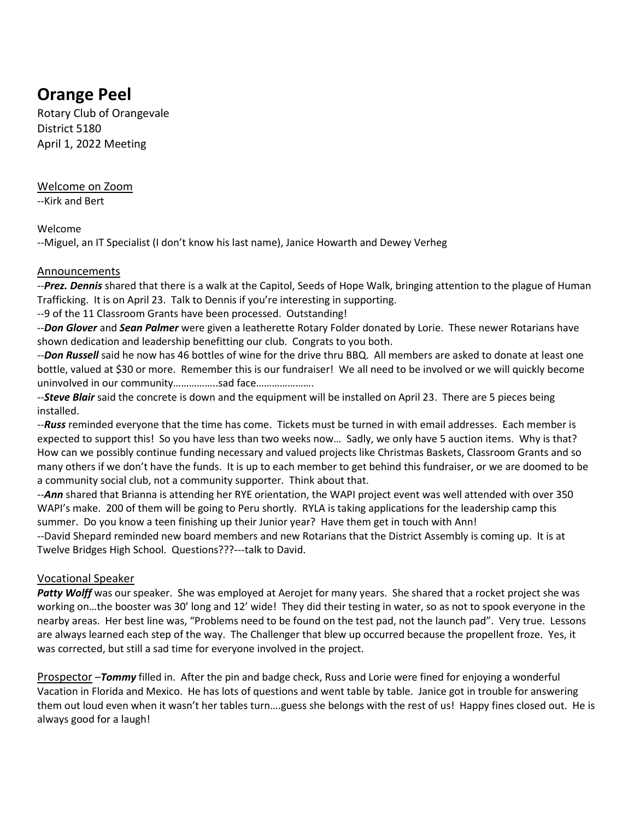# **Orange Peel**

Rotary Club of Orangevale District 5180 April 1, 2022 Meeting

# Welcome on Zoom

--Kirk and Bert

# Welcome

--Miguel, an IT Specialist (I don't know his last name), Janice Howarth and Dewey Verheg

# Announcements

--*Prez. Dennis* shared that there is a walk at the Capitol, Seeds of Hope Walk, bringing attention to the plague of Human Trafficking. It is on April 23. Talk to Dennis if you're interesting in supporting.

--9 of the 11 Classroom Grants have been processed. Outstanding!

--*Don Glover* and *Sean Palmer* were given a leatherette Rotary Folder donated by Lorie. These newer Rotarians have shown dedication and leadership benefitting our club. Congrats to you both.

--*Don Russell* said he now has 46 bottles of wine for the drive thru BBQ. All members are asked to donate at least one bottle, valued at \$30 or more. Remember this is our fundraiser! We all need to be involved or we will quickly become uninvolved in our community……………..sad face………………….

--**Steve Blair** said the concrete is down and the equipment will be installed on April 23. There are 5 pieces being installed.

--*Russ* reminded everyone that the time has come. Tickets must be turned in with email addresses. Each member is expected to support this! So you have less than two weeks now… Sadly, we only have 5 auction items. Why is that? How can we possibly continue funding necessary and valued projects like Christmas Baskets, Classroom Grants and so many others if we don't have the funds. It is up to each member to get behind this fundraiser, or we are doomed to be a community social club, not a community supporter. Think about that.

--*Ann* shared that Brianna is attending her RYE orientation, the WAPI project event was well attended with over 350 WAPI's make. 200 of them will be going to Peru shortly. RYLA is taking applications for the leadership camp this summer. Do you know a teen finishing up their Junior year? Have them get in touch with Ann!

--David Shepard reminded new board members and new Rotarians that the District Assembly is coming up. It is at Twelve Bridges High School. Questions???---talk to David.

# Vocational Speaker

Patty Wolff was our speaker. She was employed at Aerojet for many years. She shared that a rocket project she was working on...the booster was 30' long and 12' wide! They did their testing in water, so as not to spook everyone in the nearby areas. Her best line was, "Problems need to be found on the test pad, not the launch pad". Very true. Lessons are always learned each step of the way. The Challenger that blew up occurred because the propellent froze. Yes, it was corrected, but still a sad time for everyone involved in the project.

Prospector –*Tommy* filled in. After the pin and badge check, Russ and Lorie were fined for enjoying a wonderful Vacation in Florida and Mexico. He has lots of questions and went table by table. Janice got in trouble for answering them out loud even when it wasn't her tables turn….guess she belongs with the rest of us! Happy fines closed out. He is always good for a laugh!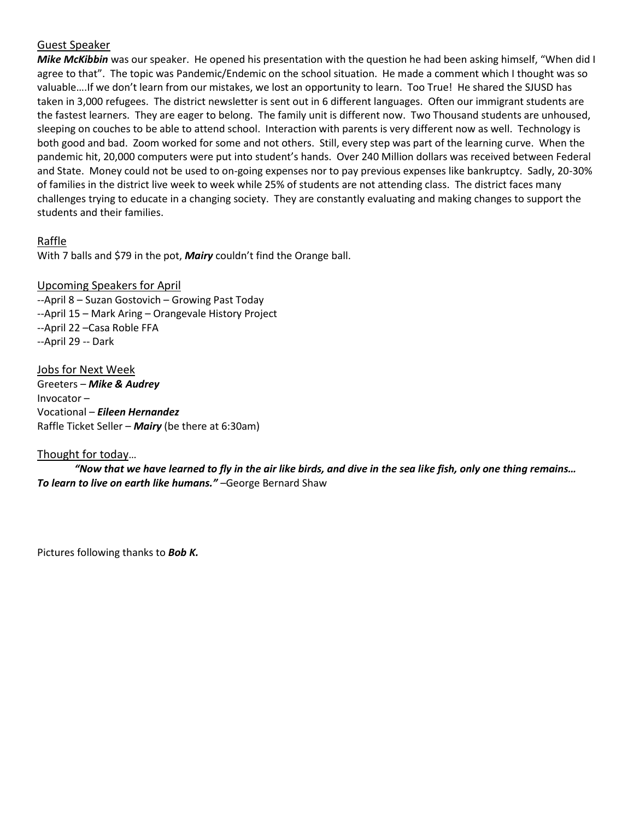# Guest Speaker

*Mike McKibbin* was our speaker. He opened his presentation with the question he had been asking himself, "When did I agree to that". The topic was Pandemic/Endemic on the school situation. He made a comment which I thought was so valuable….If we don't learn from our mistakes, we lost an opportunity to learn. Too True! He shared the SJUSD has taken in 3,000 refugees. The district newsletter is sent out in 6 different languages. Often our immigrant students are the fastest learners. They are eager to belong. The family unit is different now. Two Thousand students are unhoused, sleeping on couches to be able to attend school. Interaction with parents is very different now as well. Technology is both good and bad. Zoom worked for some and not others. Still, every step was part of the learning curve. When the pandemic hit, 20,000 computers were put into student's hands. Over 240 Million dollars was received between Federal and State. Money could not be used to on-going expenses nor to pay previous expenses like bankruptcy. Sadly, 20-30% of families in the district live week to week while 25% of students are not attending class. The district faces many challenges trying to educate in a changing society. They are constantly evaluating and making changes to support the students and their families.

# Raffle

With 7 balls and \$79 in the pot, *Mairy* couldn't find the Orange ball.

# Upcoming Speakers for April

--April 8 – Suzan Gostovich – Growing Past Today --April 15 – Mark Aring – Orangevale History Project --April 22 –Casa Roble FFA --April 29 -- Dark

#### Jobs for Next Week Greeters – *Mike & Audrey* Invocator – Vocational – *Eileen Hernandez* Raffle Ticket Seller – *Mairy* (be there at 6:30am)

# Thought for today…

*"Now that we have learned to fly in the air like birds, and dive in the sea like fish, only one thing remains… To learn to live on earth like humans."* –George Bernard Shaw

Pictures following thanks to *Bob K.*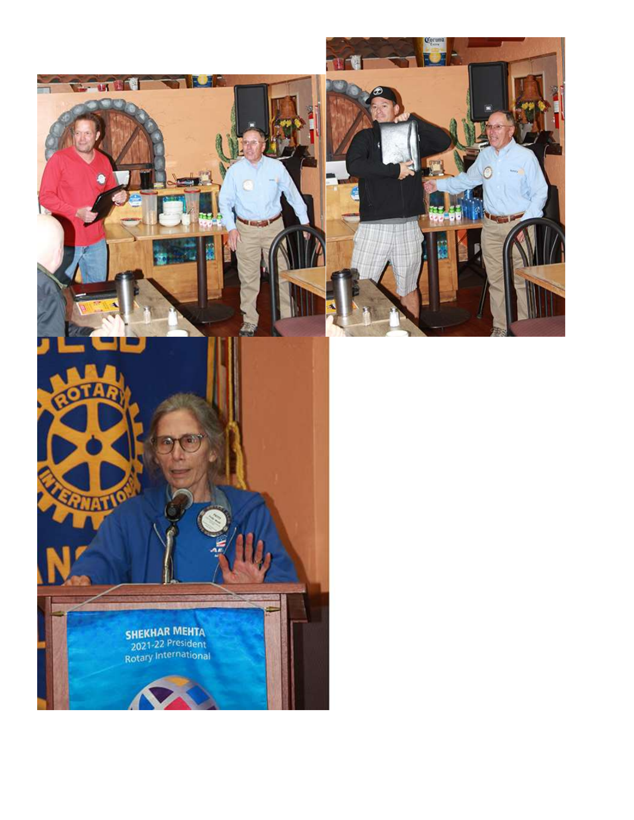